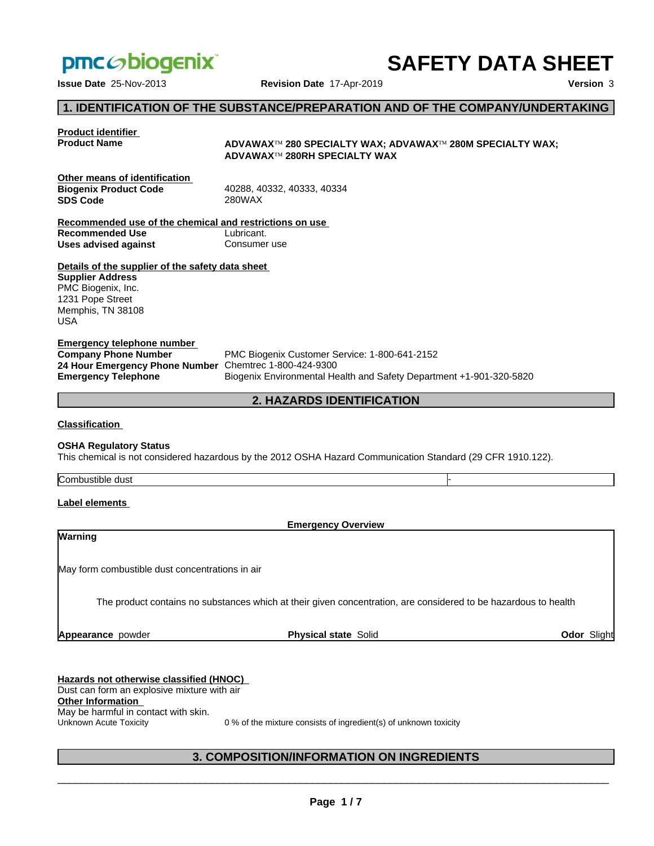

# **SAFETY DATA SHEET**

**Issue Date** 25-Nov-2013 **Revision Date** 17-Apr-2019 **Version** 3

### **1. IDENTIFICATION OF THE SUBSTANCE/PREPARATION AND OF THE COMPANY/UNDERTAKING**

### **Product identifier Product Name ADVAWAX**™ 280 SPECIALTY WAX; ADVAWAX™ 280M SPECIALTY WAX; **ADVAWAXÔ 280RH SPECIALTY WAX Other means of identification Biogenix Product Code** 40288, 40332, 40333, 40334 **SDS Code** 280WAX **Recommended use of the chemical and restrictions on use Recommended Use** Lubricant. **Uses advised against Consumer use Details of the supplier of the safety data sheet Emergency telephone number Company Phone Number** PMC Biogenix Customer Service: 1-800-641-2152 **24 Hour Emergency Phone Number Emergency Telephone** Biogenix Environmental Health and Safety Department +1-901-320-5820 **Supplier Address** PMC Biogenix, Inc. 1231 Pope Street Memphis, TN 38108 USA

### **2. HAZARDS IDENTIFICATION**

**Classification**

#### **OSHA Regulatory Status**

This chemical is not considered hazardous by the 2012 OSHA Hazard Communication Standard (29 CFR 1910.122).

Combustible dust

#### **Label elements**

**Warning**

**Emergency Overview**

May form combustible dust concentrations in air

The product contains no substances which at their given concentration, are considered to be hazardous to health

**Appearance** powder **Physical state** Solid **Odor** Slight

### **Hazards not otherwise classified (HNOC)** Dust can form an explosive mixture with air **Other Information** May be harmful in contact with skin.<br>Unknown Acute Toxicity

0 % of the mixture consists of ingredient(s) of unknown toxicity

### **3. COMPOSITION/INFORMATION ON INGREDIENTS**

 $\overline{\phantom{a}}$  ,  $\overline{\phantom{a}}$  ,  $\overline{\phantom{a}}$  ,  $\overline{\phantom{a}}$  ,  $\overline{\phantom{a}}$  ,  $\overline{\phantom{a}}$  ,  $\overline{\phantom{a}}$  ,  $\overline{\phantom{a}}$  ,  $\overline{\phantom{a}}$  ,  $\overline{\phantom{a}}$  ,  $\overline{\phantom{a}}$  ,  $\overline{\phantom{a}}$  ,  $\overline{\phantom{a}}$  ,  $\overline{\phantom{a}}$  ,  $\overline{\phantom{a}}$  ,  $\overline{\phantom{a}}$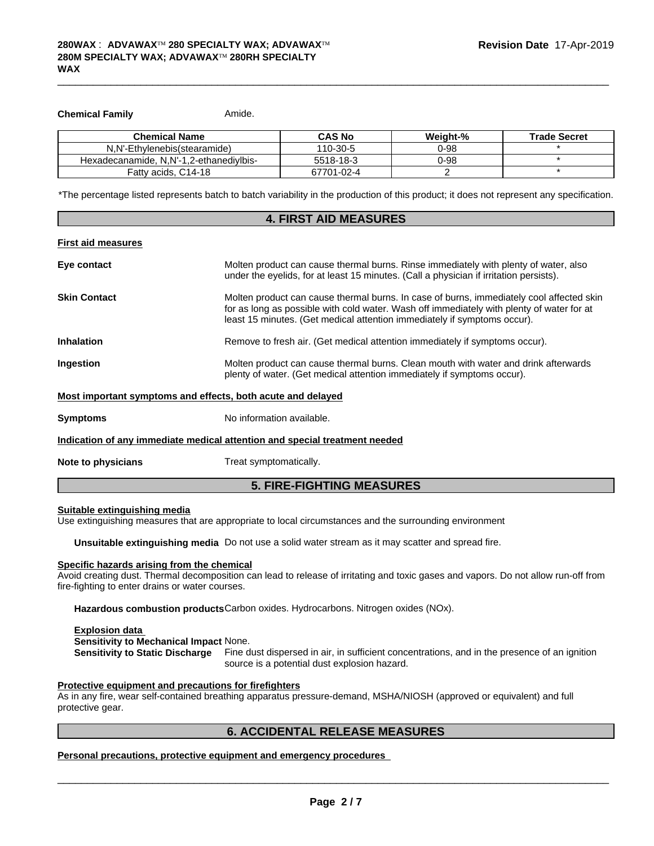#### **Chemical Family**

Amide.

| <b>Chemical Name</b>                    | <b>CAS No</b> | Weight-% | <b>Trade Secret</b> |
|-----------------------------------------|---------------|----------|---------------------|
| N.N'-Ethylenebis(stearamide)            | 110-30-5      | $0 - 98$ |                     |
| Hexadecanamide, N.N'-1.2-ethanedivibis- | 5518-18-3     | 0-98     |                     |
| Fatty acids, C14-18                     | 67701-02-4    |          |                     |

\*The percentage listed represents batch to batch variability in the production of this product; it does not represent any specification.

| <b>4. FIRST AID MEASURES</b>                                               |                                                                                                                                                                                                                                                                   |  |
|----------------------------------------------------------------------------|-------------------------------------------------------------------------------------------------------------------------------------------------------------------------------------------------------------------------------------------------------------------|--|
| First aid measures                                                         |                                                                                                                                                                                                                                                                   |  |
| Eye contact                                                                | Molten product can cause thermal burns. Rinse immediately with plenty of water, also<br>under the eyelids, for at least 15 minutes. (Call a physician if irritation persists).                                                                                    |  |
| Skin Contact                                                               | Molten product can cause thermal burns. In case of burns, immediately cool affected skin<br>for as long as possible with cold water. Wash off immediately with plenty of water for at<br>least 15 minutes. (Get medical attention immediately if symptoms occur). |  |
| Inhalation                                                                 | Remove to fresh air. (Get medical attention immediately if symptoms occur).                                                                                                                                                                                       |  |
| Ingestion                                                                  | Molten product can cause thermal burns. Clean mouth with water and drink afterwards<br>plenty of water. (Get medical attention immediately if symptoms occur).                                                                                                    |  |
| Most important symptoms and effects, both acute and delayed                |                                                                                                                                                                                                                                                                   |  |
| Symptoms                                                                   | No information available.                                                                                                                                                                                                                                         |  |
| Indication of any immediate medical attention and special treatment needed |                                                                                                                                                                                                                                                                   |  |
| <b>Note to physicians</b>                                                  | Treat symptomatically.                                                                                                                                                                                                                                            |  |

### **5. FIRE-FIGHTING MEASURES**

#### Suitable extinguishing media

Use extinguishing measures that are appropriate to local circumstances and the surrounding environment

Unsuitable extinguishing media Do not use a solid water stream as it may scatter and spread fire.

#### Specific hazards arising from the chemical

Avoid creating dust. Thermal decomposition can lead to release of irritating and toxic gases and vapors. Do not allow run-off from fire-fighting to enter drains or water courses.

Hazardous combustion products Carbon oxides. Hydrocarbons. Nitrogen oxides (NOx).

#### **Explosion data**

Sensitivity to Mechanical Impact None.

Sensitivity to Static Discharge Fine dust dispersed in air, in sufficient concentrations, and in the presence of an ignition source is a potential dust explosion hazard.

#### Protective equipment and precautions for firefighters

As in any fire, wear self-contained breathing apparatus pressure-demand, MSHA/NIOSH (approved or equivalent) and full protective gear.

#### **6. ACCIDENTAL RELEASE MEASURES**

Personal precautions, protective equipment and emergency procedures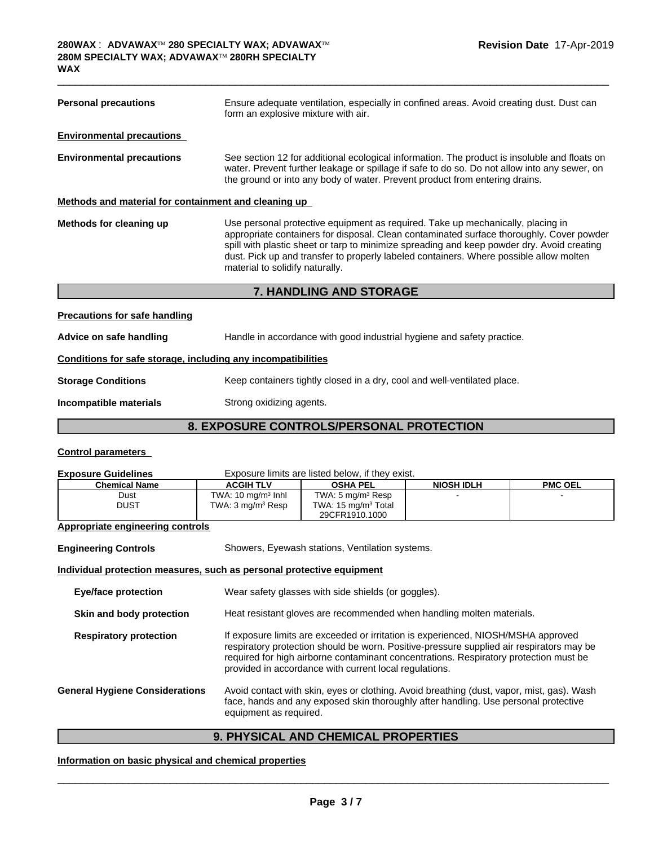| <b>Personal precautions</b>                                  | Ensure adequate ventilation, especially in confined areas. Avoid creating dust. Dust can<br>form an explosive mixture with air.                                                                                                                                                                                                                                                                        |  |
|--------------------------------------------------------------|--------------------------------------------------------------------------------------------------------------------------------------------------------------------------------------------------------------------------------------------------------------------------------------------------------------------------------------------------------------------------------------------------------|--|
| <b>Environmental precautions</b>                             |                                                                                                                                                                                                                                                                                                                                                                                                        |  |
| <b>Environmental precautions</b>                             | See section 12 for additional ecological information. The product is insoluble and floats on<br>water. Prevent further leakage or spillage if safe to do so. Do not allow into any sewer, on<br>the ground or into any body of water. Prevent product from entering drains.                                                                                                                            |  |
| <u>Methods and material for containment and cleaning up</u>  |                                                                                                                                                                                                                                                                                                                                                                                                        |  |
| Methods for cleaning up                                      | Use personal protective equipment as required. Take up mechanically, placing in<br>appropriate containers for disposal. Clean contaminated surface thoroughly. Cover powder<br>spill with plastic sheet or tarp to minimize spreading and keep powder dry. Avoid creating<br>dust. Pick up and transfer to properly labeled containers. Where possible allow molten<br>material to solidify naturally. |  |
| <b>7. HANDLING AND STORAGE</b>                               |                                                                                                                                                                                                                                                                                                                                                                                                        |  |
| <b>Precautions for safe handling</b>                         |                                                                                                                                                                                                                                                                                                                                                                                                        |  |
| Advice on safe handling                                      | Handle in accordance with good industrial hygiene and safety practice.                                                                                                                                                                                                                                                                                                                                 |  |
| Conditione for eafe starses, including any incompatibilities |                                                                                                                                                                                                                                                                                                                                                                                                        |  |

### Conditions for safe storage, including any incompatibilities

Incompatible materials Strong oxidizing agents.

### 8. EXPOSURE CONTROLS/PERSONAL PROTECTION

### **Control parameters**

| <b>Exposure Guidelines</b>                                            | Exposure limits are listed below, if they exist.                                                                                                                                                           |                                                                                                                                                                                                                                                                                                                                  |                   |                |
|-----------------------------------------------------------------------|------------------------------------------------------------------------------------------------------------------------------------------------------------------------------------------------------------|----------------------------------------------------------------------------------------------------------------------------------------------------------------------------------------------------------------------------------------------------------------------------------------------------------------------------------|-------------------|----------------|
| <b>Chemical Name</b>                                                  | <b>ACGIH TLV</b>                                                                                                                                                                                           | <b>OSHA PEL</b>                                                                                                                                                                                                                                                                                                                  | <b>NIOSH IDLH</b> | <b>PMC OEL</b> |
| Dust                                                                  | TWA: $10 \text{ mg/m}^3$ Inhl                                                                                                                                                                              | TWA: 5 mg/m <sup>3</sup> Resp                                                                                                                                                                                                                                                                                                    |                   |                |
| <b>DUST</b>                                                           | TWA: 3 mg/m <sup>3</sup> Resp                                                                                                                                                                              | TWA: 15 mg/m <sup>3</sup> Total<br>29CFR1910.1000                                                                                                                                                                                                                                                                                |                   |                |
| <b>Appropriate engineering controls</b>                               |                                                                                                                                                                                                            |                                                                                                                                                                                                                                                                                                                                  |                   |                |
| <b>Engineering Controls</b>                                           |                                                                                                                                                                                                            | Showers, Eyewash stations, Ventilation systems.                                                                                                                                                                                                                                                                                  |                   |                |
| Individual protection measures, such as personal protective equipment |                                                                                                                                                                                                            |                                                                                                                                                                                                                                                                                                                                  |                   |                |
| Eye/face protection                                                   |                                                                                                                                                                                                            | Wear safety glasses with side shields (or goggles).                                                                                                                                                                                                                                                                              |                   |                |
| Skin and body protection                                              |                                                                                                                                                                                                            | Heat resistant gloves are recommended when handling molten materials.                                                                                                                                                                                                                                                            |                   |                |
| <b>Respiratory protection</b>                                         |                                                                                                                                                                                                            | If exposure limits are exceeded or irritation is experienced, NIOSH/MSHA approved<br>respiratory protection should be worn. Positive-pressure supplied air respirators may be<br>required for high airborne contaminant concentrations. Respiratory protection must be<br>provided in accordance with current local regulations. |                   |                |
| <b>General Hygiene Considerations</b>                                 | Avoid contact with skin, eyes or clothing. Avoid breathing (dust, vapor, mist, gas). Wash<br>face, hands and any exposed skin thoroughly after handling. Use personal protective<br>equipment as required. |                                                                                                                                                                                                                                                                                                                                  |                   |                |

## 9. PHYSICAL AND CHEMICAL PROPERTIES

### Information on basic physical and chemical properties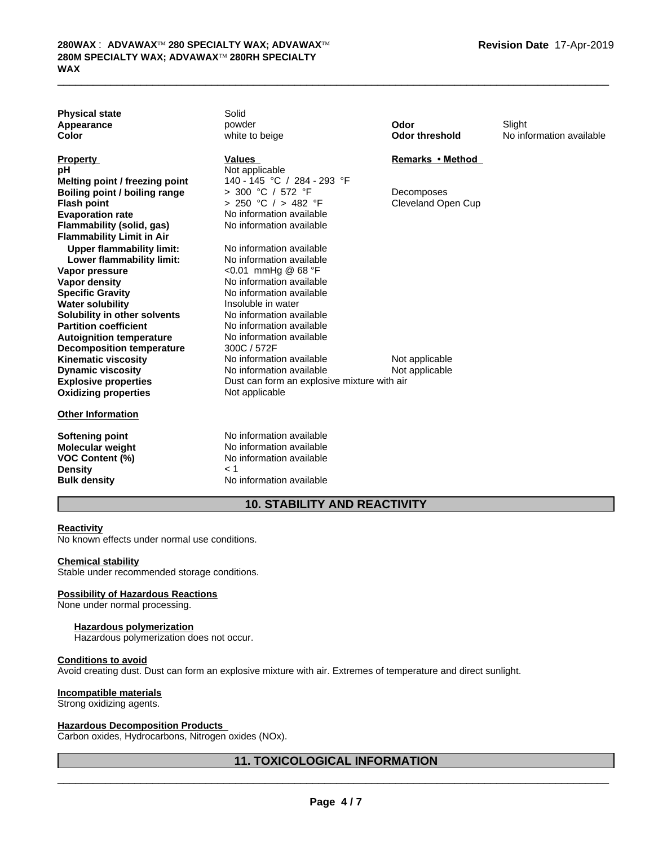| <b>Physical state</b><br>Appearance<br>Color           | Solid<br>powder<br>white to beige                | Odor<br><b>Odor threshold</b>           | Slight<br>No information available |
|--------------------------------------------------------|--------------------------------------------------|-----------------------------------------|------------------------------------|
| <b>Property</b>                                        | <b>Values</b>                                    | Remarks • Method                        |                                    |
| рH                                                     | Not applicable                                   |                                         |                                    |
| Melting point / freezing point                         | 140 - 145 °C / 284 - 293 °F<br>> 300 °C / 572 °F |                                         |                                    |
| Boiling point / boiling range<br><b>Flash point</b>    | > 250 °C / > 482 °F                              | Decomposes<br><b>Cleveland Open Cup</b> |                                    |
| <b>Evaporation rate</b>                                | No information available                         |                                         |                                    |
| Flammability (solid, gas)                              | No information available                         |                                         |                                    |
| <b>Flammability Limit in Air</b>                       |                                                  |                                         |                                    |
| <b>Upper flammability limit:</b>                       | No information available                         |                                         |                                    |
| Lower flammability limit:                              | No information available                         |                                         |                                    |
| Vapor pressure                                         | <0.01 mmHg @ 68 °F                               |                                         |                                    |
| <b>Vapor density</b>                                   | No information available                         |                                         |                                    |
| <b>Specific Gravity</b>                                | No information available                         |                                         |                                    |
| <b>Water solubility</b>                                | Insoluble in water                               |                                         |                                    |
| Solubility in other solvents                           | No information available                         |                                         |                                    |
| <b>Partition coefficient</b>                           | No information available                         |                                         |                                    |
| <b>Autoignition temperature</b>                        | No information available                         |                                         |                                    |
| <b>Decomposition temperature</b>                       | 300C / 572F<br>No information available          |                                         |                                    |
| <b>Kinematic viscosity</b><br><b>Dynamic viscosity</b> | No information available                         | Not applicable                          |                                    |
| <b>Explosive properties</b>                            | Dust can form an explosive mixture with air      | Not applicable                          |                                    |
| <b>Oxidizing properties</b>                            | Not applicable                                   |                                         |                                    |
| <b>Other Information</b>                               |                                                  |                                         |                                    |
| <b>Softening point</b>                                 | No information available                         |                                         |                                    |
| <b>Molecular weight</b>                                | No information available                         |                                         |                                    |
| <b>VOC Content (%)</b>                                 | No information available                         |                                         |                                    |
| <b>Density</b>                                         | 1 >                                              |                                         |                                    |
| <b>Bulk density</b>                                    | No information available                         |                                         |                                    |

### **10. STABILITY AND REACTIVITY**

 $\_$  ,  $\_$  ,  $\_$  ,  $\_$  ,  $\_$  ,  $\_$  ,  $\_$  ,  $\_$  ,  $\_$  ,  $\_$  ,  $\_$  ,  $\_$  ,  $\_$  ,  $\_$  ,  $\_$  ,  $\_$  ,  $\_$  ,  $\_$  ,  $\_$  ,  $\_$  ,  $\_$  ,  $\_$  ,  $\_$  ,  $\_$  ,  $\_$  ,  $\_$  ,  $\_$  ,  $\_$  ,  $\_$  ,  $\_$  ,  $\_$  ,  $\_$  ,  $\_$  ,  $\_$  ,  $\_$  ,  $\_$  ,  $\_$  ,

#### **Reactivity**

No known effects under normal use conditions.

#### **Chemical stability**

Stable under recommended storage conditions.

#### **Possibility of Hazardous Reactions**

None under normal processing.

#### **Hazardous polymerization**

Hazardous polymerization does not occur.

### **Conditions to avoid**

Avoid creating dust. Dust can form an explosive mixture with air. Extremes of temperature and direct sunlight.

#### **Incompatible materials**

Strong oxidizing agents.

#### **Hazardous Decomposition Products**

Carbon oxides, Hydrocarbons, Nitrogen oxides (NOx).

### **11. TOXICOLOGICAL INFORMATION**

 $\overline{\phantom{a}}$  ,  $\overline{\phantom{a}}$  ,  $\overline{\phantom{a}}$  ,  $\overline{\phantom{a}}$  ,  $\overline{\phantom{a}}$  ,  $\overline{\phantom{a}}$  ,  $\overline{\phantom{a}}$  ,  $\overline{\phantom{a}}$  ,  $\overline{\phantom{a}}$  ,  $\overline{\phantom{a}}$  ,  $\overline{\phantom{a}}$  ,  $\overline{\phantom{a}}$  ,  $\overline{\phantom{a}}$  ,  $\overline{\phantom{a}}$  ,  $\overline{\phantom{a}}$  ,  $\overline{\phantom{a}}$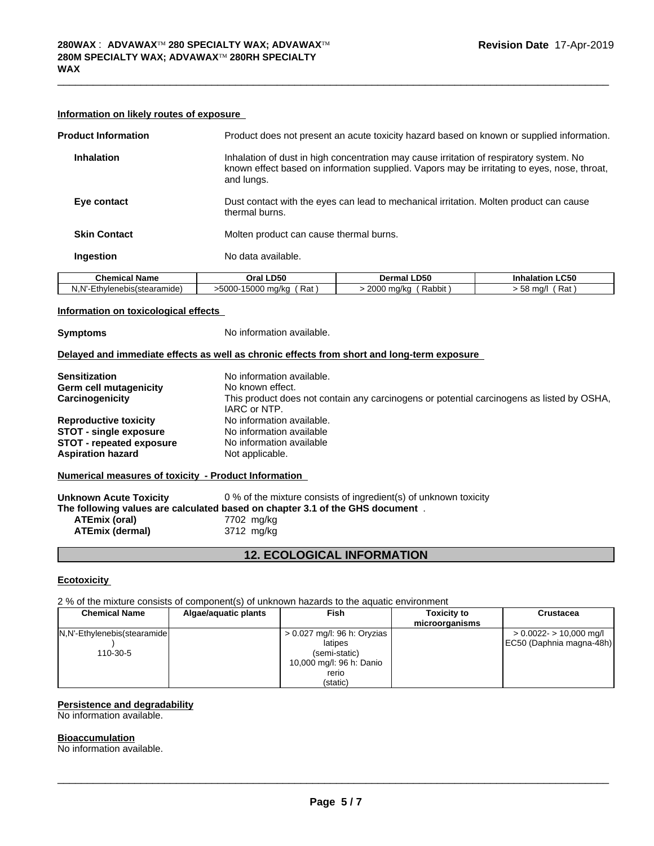#### Information on likely routes of exposure

| <b>Product Information</b> | Product does not present an acute toxicity hazard based on known or supplied information.                                                                                                            |
|----------------------------|------------------------------------------------------------------------------------------------------------------------------------------------------------------------------------------------------|
| <b>Inhalation</b>          | Inhalation of dust in high concentration may cause irritation of respiratory system. No<br>known effect based on information supplied. Vapors may be irritating to eyes, nose, throat,<br>and lungs. |
| Eye contact                | Dust contact with the eyes can lead to mechanical irritation. Molten product can cause<br>thermal burns.                                                                                             |
| <b>Skin Contact</b>        | Molten product can cause thermal burns.                                                                                                                                                              |
| Ingestion                  | No data available.                                                                                                                                                                                   |
|                            |                                                                                                                                                                                                      |

| Chemical                                         | <b>LD50</b>                                           | <b>LD50</b>             | <b>LC50</b>       |
|--------------------------------------------------|-------------------------------------------------------|-------------------------|-------------------|
| ˈName                                            | Oral                                                  | Dermal                  | <b>Inhalation</b> |
| J.N'<br>sístearamide<br>∟unvler i<br>-11-<br>ואו | $15000$ i.<br>$5000 -$<br>ലം -<br>ma/ko<br>Ral<br>. . | 2000<br>Rabbit<br>ma/ka | Rat<br>ma/l<br>5ö |

#### Information on toxicological effects

No information available. **Symptoms** 

#### Delayed and immediate effects as well as chronic effects from short and long-term exposure

| <b>Sensitization</b>            | No information available.                                                                                 |
|---------------------------------|-----------------------------------------------------------------------------------------------------------|
| Germ cell mutagenicity          | No known effect.                                                                                          |
| Carcinogenicity                 | This product does not contain any carcinogens or potential carcinogens as listed by OSHA,<br>IARC or NTP. |
| <b>Reproductive toxicity</b>    | No information available.                                                                                 |
| <b>STOT - single exposure</b>   | No information available                                                                                  |
| <b>STOT - repeated exposure</b> | No information available                                                                                  |
| <b>Aspiration hazard</b>        | Not applicable.                                                                                           |

#### Numerical measures of toxicity - Product Information

0 % of the mixture consists of ingredient(s) of unknown toxicity **Unknown Acute Toxicity** The following values are calculated based on chapter 3.1 of the GHS document. **ATEmix (oral)** 7702 mg/kg ATEmix (dermal) 3712 mg/kg

### **12. ECOLOGICAL INFORMATION**

#### **Ecotoxicity**

2 % of the mixture consists of component(s) of unknown hazards to the aquatic environment

| <b>Chemical Name</b>        | Algae/aguatic plants | Fish                          | <b>Toxicity to</b><br>microorganisms | <b>Crustacea</b>         |
|-----------------------------|----------------------|-------------------------------|--------------------------------------|--------------------------|
| N.N'-Ethylenebis(stearamide |                      | $> 0.027$ mg/l: 96 h: Oryzias |                                      | $> 0.0022 - 10,000$ mg/l |
|                             |                      | latipes                       |                                      | EC50 (Daphnia magna-48h) |
| 110-30-5                    |                      | (semi-static)                 |                                      |                          |
|                             |                      | 10,000 mg/l: 96 h: Danio      |                                      |                          |
|                             |                      | rerio                         |                                      |                          |
|                             |                      | (static)                      |                                      |                          |

#### **Persistence and degradability**

No information available.

#### **Bioaccumulation**

No information available.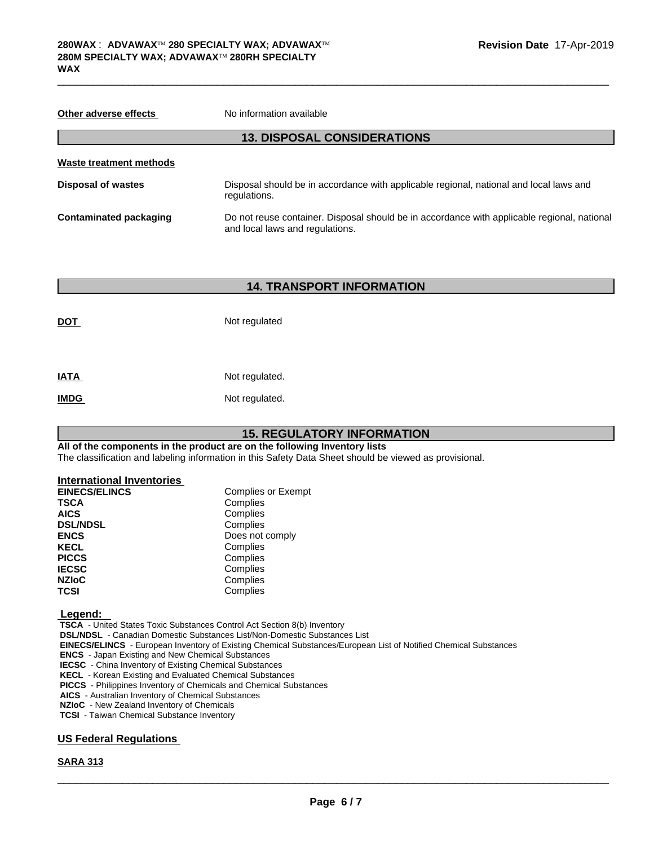| Other adverse effects     | No information available                                                                                                       |
|---------------------------|--------------------------------------------------------------------------------------------------------------------------------|
|                           | <b>13. DISPOSAL CONSIDERATIONS</b>                                                                                             |
| Waste treatment methods   |                                                                                                                                |
| <b>Disposal of wastes</b> | Disposal should be in accordance with applicable regional, national and local laws and<br>regulations.                         |
| Contaminated packaging    | Do not reuse container. Disposal should be in accordance with applicable regional, national<br>and local laws and regulations. |

 $\_$  ,  $\_$  ,  $\_$  ,  $\_$  ,  $\_$  ,  $\_$  ,  $\_$  ,  $\_$  ,  $\_$  ,  $\_$  ,  $\_$  ,  $\_$  ,  $\_$  ,  $\_$  ,  $\_$  ,  $\_$  ,  $\_$  ,  $\_$  ,  $\_$  ,  $\_$  ,  $\_$  ,  $\_$  ,  $\_$  ,  $\_$  ,  $\_$  ,  $\_$  ,  $\_$  ,  $\_$  ,  $\_$  ,  $\_$  ,  $\_$  ,  $\_$  ,  $\_$  ,  $\_$  ,  $\_$  ,  $\_$  ,  $\_$  ,

### **14. TRANSPORT INFORMATION**

| <b>DOT</b>  | Not regulated  |
|-------------|----------------|
| <b>IATA</b> | Not regulated. |
| <b>IMDG</b> | Not regulated. |

### **15. REGULATORY INFORMATION**

**All of the components in the product are on the following Inventory lists** The classification and labeling information in this Safety Data Sheet should be viewed as provisional.

#### **International Inventories**

| <b>EINECS/ELINCS</b> | <b>Complies or Exempt</b> |  |  |
|----------------------|---------------------------|--|--|
| <b>TSCA</b>          | Complies                  |  |  |
| <b>AICS</b>          | Complies                  |  |  |
| <b>DSL/NDSL</b>      | Complies                  |  |  |
| <b>ENCS</b>          | Does not comply           |  |  |
| <b>KECL</b>          | Complies                  |  |  |
| <b>PICCS</b>         | Complies                  |  |  |
| <b>IECSC</b>         | Complies                  |  |  |
| <b>NZIoC</b>         | Complies                  |  |  |
| <b>TCSI</b>          | Complies                  |  |  |

 **Legend:** 

 **TSCA** - United States Toxic Substances Control Act Section 8(b) Inventory

 **DSL/NDSL** - Canadian Domestic Substances List/Non-Domestic Substances List

 **EINECS/ELINCS** - European Inventory of Existing Chemical Substances/European List of Notified Chemical Substances

 **ENCS** - Japan Existing and New Chemical Substances

 **IECSC** - China Inventory of Existing Chemical Substances

 **KECL** - Korean Existing and Evaluated Chemical Substances

 **PICCS** - Philippines Inventory of Chemicals and Chemical Substances

 **AICS** - Australian Inventory of Chemical Substances

 **NZIoC** - New Zealand Inventory of Chemicals

 **TCSI** - Taiwan Chemical Substance Inventory

#### **US Federal Regulations**

#### **SARA 313**

 $\overline{\phantom{a}}$  ,  $\overline{\phantom{a}}$  ,  $\overline{\phantom{a}}$  ,  $\overline{\phantom{a}}$  ,  $\overline{\phantom{a}}$  ,  $\overline{\phantom{a}}$  ,  $\overline{\phantom{a}}$  ,  $\overline{\phantom{a}}$  ,  $\overline{\phantom{a}}$  ,  $\overline{\phantom{a}}$  ,  $\overline{\phantom{a}}$  ,  $\overline{\phantom{a}}$  ,  $\overline{\phantom{a}}$  ,  $\overline{\phantom{a}}$  ,  $\overline{\phantom{a}}$  ,  $\overline{\phantom{a}}$